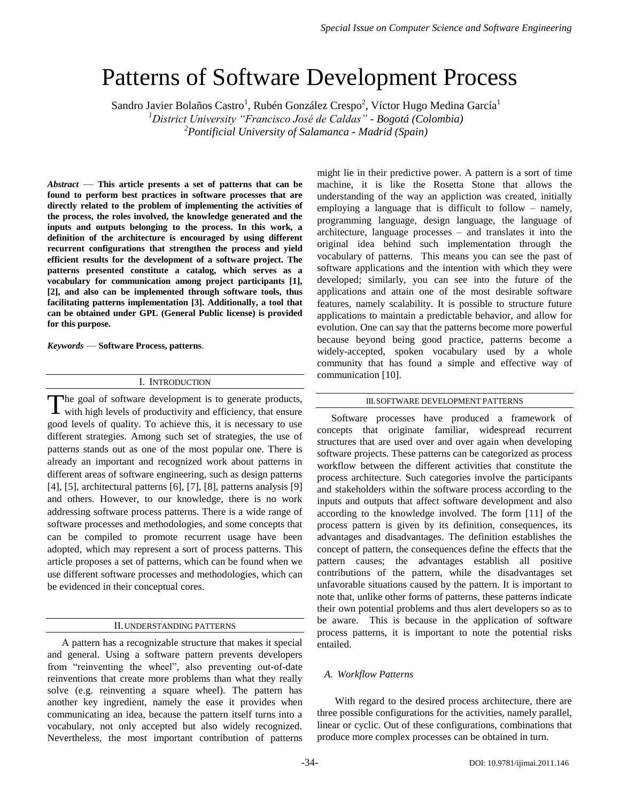# Patterns of Software Development Process

Sandro Javier Bolaños Castro<sup>1</sup>, Rubén González Crespo<sup>2</sup>, Víctor Hugo Medina García<sup>1</sup> *<sup>1</sup>District University "Francisco José de Caldas" - Bogotá (Colombia) <sup>2</sup>Pontificial University of Salamanca - Madrid (Spain)* 

*Abstract* — **This article presents a set of patterns that can be found to perform best practices in software processes that are directly related to the problem of implementing the activities of the process, the roles involved, the knowledge generated and the inputs and outputs belonging to the process. In this work, a definition of the architecture is encouraged by using different recurrent configurations that strengthen the process and yield efficient results for the development of a software project. The patterns presented constitute a catalog, which serves as a vocabulary for communication among project participants [1], [2], and also can be implemented through software tools, thus facilitating patterns implementation [3]. Additionally, a tool that can be obtained under GPL (General Public license) is provided for this purpose.**

*Keywords* — **Software Process, patterns**.

# I. INTRODUCTION

The goal of software development is to generate products, The goal of software development is to generate products, with high levels of productivity and efficiency, that ensure good levels of quality. To achieve this, it is necessary to use different strategies. Among such set of strategies, the use of patterns stands out as one of the most popular one. There is already an important and recognized work about patterns in different areas of software engineering, such as design patterns [4], [5], architectural patterns [6], [7], [8], patterns analysis [9] and others. However, to our knowledge, there is no work addressing software process patterns. There is a wide range of software processes and methodologies, and some concepts that can be compiled to promote recurrent usage have been adopted, which may represent a sort of process patterns. This article proposes a set of patterns, which can be found when we use different software processes and methodologies, which can be evidenced in their conceptual cores.

#### II.UNDERSTANDING PATTERNS

A pattern has a recognizable structure that makes it special and general. Using a software pattern prevents developers from "reinventing the wheel", also preventing out-of-date reinventions that create more problems than what they really solve (e.g. reinventing a square wheel). The pattern has another key ingredient, namely the ease it provides when communicating an idea, because the pattern itself turns into a vocabulary, not only accepted but also widely recognized. Nevertheless, the most important contribution of patterns

might lie in their predictive power. A pattern is a sort of time machine, it is like the Rosetta Stone that allows the understanding of the way an appliction was created, initially employing a language that is difficult to follow – namely, programming language, design language, the language of architecture, language processes – and translates it into the original idea behind such implementation through the vocabulary of patterns. This means you can see the past of software applications and the intention with which they were developed; similarly, you can see into the future of the applications and attain one of the most desirable software features, namely scalability. It is possible to structure future applications to maintain a predictable behavior, and allow for evolution. One can say that the patterns become more powerful because beyond being good practice, patterns become a widely-accepted, spoken vocabulary used by a whole community that has found a simple and effective way of communication [10].

#### III.SOFTWARE DEVELOPMENT PATTERNS

Software processes have produced a framework of concepts that originate familiar, widespread recurrent structures that are used over and over again when developing software projects. These patterns can be categorized as process workflow between the different activities that constitute the process architecture. Such categories involve the participants and stakeholders within the software process according to the inputs and outputs that affect software development and also according to the knowledge involved. The form [11] of the process pattern is given by its definition, consequences, its advantages and disadvantages. The definition establishes the concept of pattern, the consequences define the effects that the pattern causes; the advantages establish all positive contributions of the pattern, while the disadvantages set unfavorable situations caused by the pattern. It is important to note that, unlike other forms of patterns, these patterns indicate their own potential problems and thus alert developers so as to be aware. This is because in the application of software process patterns, it is important to note the potential risks entailed.

## *A. Workflow Patterns*

 With regard to the desired process architecture, there are three possible configurations for the activities, namely parallel, linear or cyclic. Out of these configurations, combinations that produce more complex processes can be obtained in turn.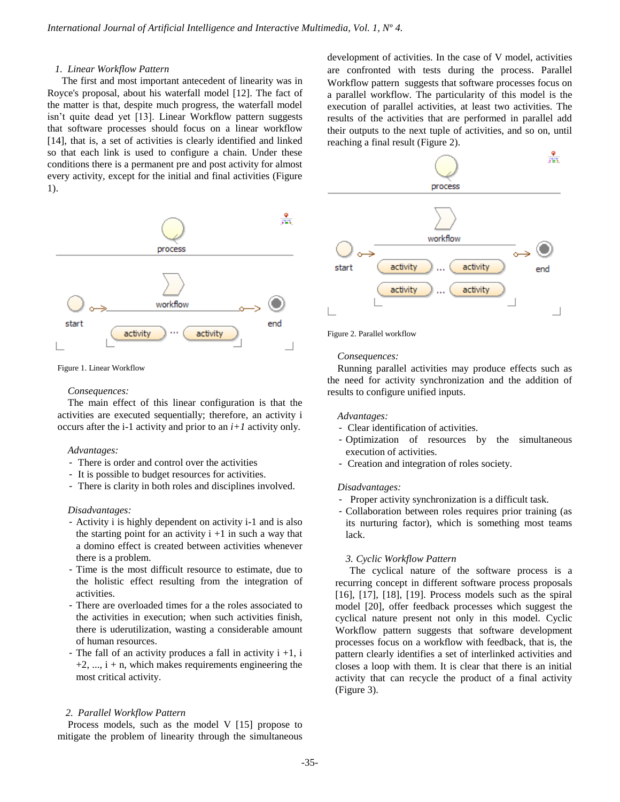## *1. Linear Workflow Pattern*

The first and most important antecedent of linearity was in Royce's proposal, about his waterfall model [12]. The fact of the matter is that, despite much progress, the waterfall model isn't quite dead yet [13]. Linear Workflow pattern suggests that software processes should focus on a linear workflow [14], that is, a set of activities is clearly identified and linked so that each link is used to configure a chain. Under these conditions there is a permanent pre and post activity for almost every activity, except for the initial and final activities (Figure 1).



Figure 1. Linear Workflow

#### *Consequences:*

The main effect of this linear configuration is that the activities are executed sequentially; therefore, an activity i occurs after the i-1 activity and prior to an *i+1* activity only*.*

#### *Advantages:*

- There is order and control over the activities
- It is possible to budget resources for activities.
- There is clarity in both roles and disciplines involved.

#### *Disadvantages:*

- Activity i is highly dependent on activity i-1 and is also the starting point for an activity  $i + 1$  in such a way that a domino effect is created between activities whenever there is a problem.
- Time is the most difficult resource to estimate, due to the holistic effect resulting from the integration of activities.
- There are overloaded times for a the roles associated to the activities in execution; when such activities finish, there is uderutilization, wasting a considerable amount of human resources.
- The fall of an activity produces a fall in activity  $i + 1$ , i  $+2$ , ...,  $i + n$ , which makes requirements engineering the most critical activity.

# *2. Parallel Workflow Pattern*

Process models, such as the model V [15] propose to mitigate the problem of linearity through the simultaneous development of activities. In the case of V model, activities are confronted with tests during the process. Parallel Workflow pattern suggests that software processes focus on a parallel workflow. The particularity of this model is the execution of parallel activities, at least two activities. The results of the activities that are performed in parallel add their outputs to the next tuple of activities, and so on, until reaching a final result (Figure 2).



Figure 2. Parallel workflow

## *Consequences:*

Running parallel activities may produce effects such as the need for activity synchronization and the addition of results to configure unified inputs.

## *Advantages:*

- Clear identification of activities.
- Optimization of resources by the simultaneous execution of activities.
- Creation and integration of roles society.

#### *Disadvantages:*

- Proper activity synchronization is a difficult task.
- Collaboration between roles requires prior training (as its nurturing factor), which is something most teams lack.

### *3. Cyclic Workflow Pattern*

The cyclical nature of the software process is a recurring concept in different software process proposals [16], [17], [18], [19]. Process models such as the spiral model [20], offer feedback processes which suggest the cyclical nature present not only in this model. Cyclic Workflow pattern suggests that software development processes focus on a workflow with feedback, that is, the pattern clearly identifies a set of interlinked activities and closes a loop with them. It is clear that there is an initial activity that can recycle the product of a final activity (Figure 3).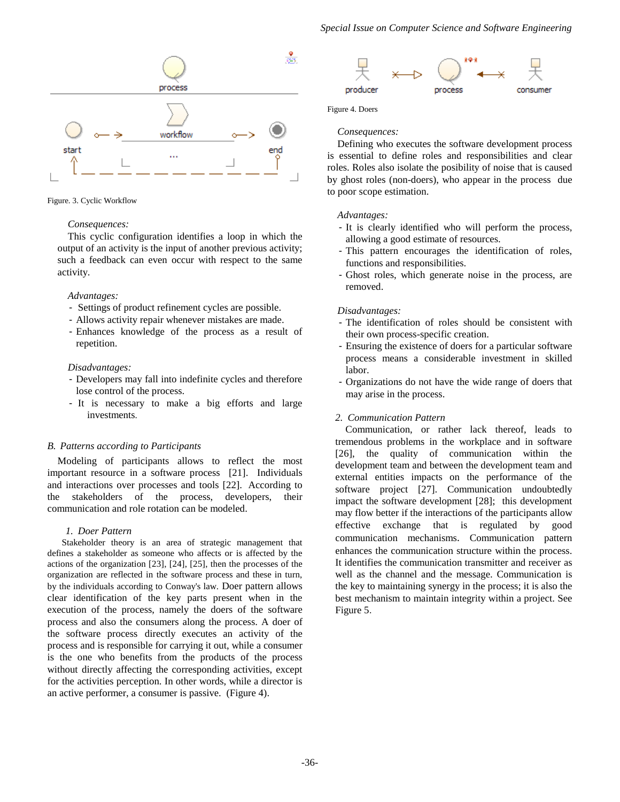

Figure. 3. Cyclic Workflow

## *Consequences:*

This cyclic configuration identifies a loop in which the output of an activity is the input of another previous activity; such a feedback can even occur with respect to the same activity.

# *Advantages:*

- Settings of product refinement cycles are possible.
- Allows activity repair whenever mistakes are made.
- Enhances knowledge of the process as a result of repetition.

# *Disadvantages:*

- Developers may fall into indefinite cycles and therefore lose control of the process.
- It is necessary to make a big efforts and large investments.

# *B. Patterns according to Participants*

Modeling of participants allows to reflect the most important resource in a software process [21]. Individuals and interactions over processes and tools [22]. According to the stakeholders of the process, developers, their communication and role rotation can be modeled.

# *1. Doer Pattern*

Stakeholder theory is an area of strategic management that defines a stakeholder as someone who affects or is affected by the actions of the organization [23], [24], [25], then the processes of the organization are reflected in the software process and these in turn, by the individuals according to Conway's law. Doer pattern allows clear identification of the key parts present when in the execution of the process, namely the doers of the software process and also the consumers along the process. A doer of the software process directly executes an activity of the process and is responsible for carrying it out, while a consumer is the one who benefits from the products of the process without directly affecting the corresponding activities, except for the activities perception. In other words, while a director is an active performer, a consumer is passive. (Figure 4).



Figure 4. Doers

# *Consequences:*

Defining who executes the software development process is essential to define roles and responsibilities and clear roles. Roles also isolate the posibility of noise that is caused by ghost roles (non-doers), who appear in the process due to poor scope estimation.

# *Advantages:*

- It is clearly identified who will perform the process, allowing a good estimate of resources.
- This pattern encourages the identification of roles, functions and responsibilities.
- Ghost roles, which generate noise in the process, are removed.

# *Disadvantages:*

- The identification of roles should be consistent with their own process-specific creation.
- Ensuring the existence of doers for a particular software process means a considerable investment in skilled labor.
- Organizations do not have the wide range of doers that may arise in the process.

# *2. Communication Pattern*

Communication, or rather lack thereof, leads to tremendous problems in the workplace and in software [26], the quality of communication within the development team and between the development team and external entities impacts on the performance of the software project [27]. Communication undoubtedly impact the software development [28]; this development may flow better if the interactions of the participants allow effective exchange that is regulated by good communication mechanisms. Communication pattern enhances the communication structure within the process. It identifies the communication transmitter and receiver as well as the channel and the message. Communication is the key to maintaining synergy in the process; it is also the best mechanism to maintain integrity within a project. See Figure 5.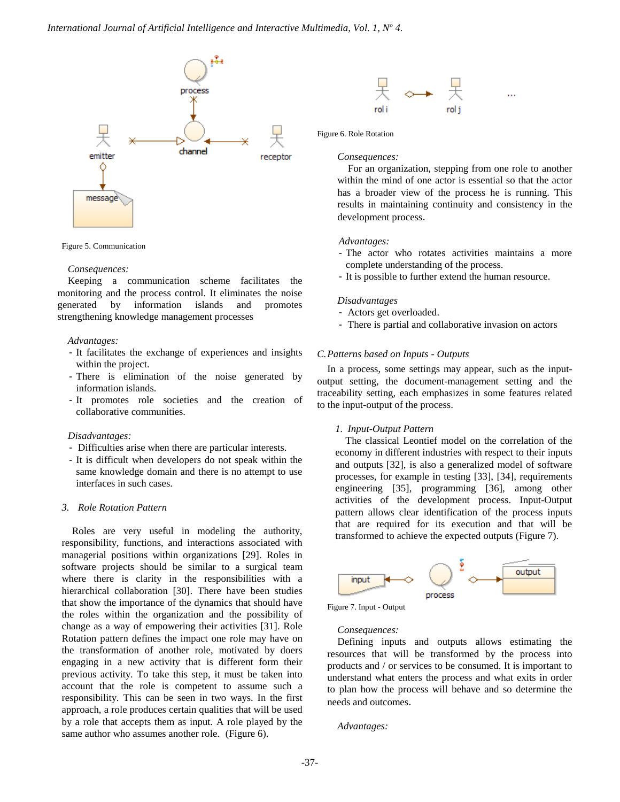

Figure 5. Communication

#### *Consequences:*

Keeping a communication scheme facilitates the monitoring and the process control. It eliminates the noise generated by information islands and promotes strengthening knowledge management processes

#### *Advantages:*

- It facilitates the exchange of experiences and insights within the project.
- There is elimination of the noise generated by information islands.
- It promotes role societies and the creation of collaborative communities.

# *Disadvantages:*

- Difficulties arise when there are particular interests.
- It is difficult when developers do not speak within the same knowledge domain and there is no attempt to use interfaces in such cases.

## *3. Role Rotation Pattern*

Roles are very useful in modeling the authority, responsibility, functions, and interactions associated with managerial positions within organizations [29]. Roles in software projects should be similar to a surgical team where there is clarity in the responsibilities with a hierarchical collaboration [30]. There have been studies that show the importance of the dynamics that should have the roles within the organization and the possibility of change as a way of empowering their activities [31]. Role Rotation pattern defines the impact one role may have on the transformation of another role, motivated by doers engaging in a new activity that is different form their previous activity. To take this step, it must be taken into account that the role is competent to assume such a responsibility. This can be seen in two ways. In the first approach, a role produces certain qualities that will be used by a role that accepts them as input. A role played by the same author who assumes another role. (Figure 6).



## Figure 6. Role Rotation

#### *Consequences:*

For an organization, stepping from one role to another within the mind of one actor is essential so that the actor has a broader view of the process he is running. This results in maintaining continuity and consistency in the development process.

## *Advantages:*

- The actor who rotates activities maintains a more complete understanding of the process.
- It is possible to further extend the human resource.

# *Disadvantages*

- Actors get overloaded.
- There is partial and collaborative invasion on actors

#### *C.Patterns based on Inputs - Outputs*

In a process, some settings may appear, such as the inputoutput setting, the document-management setting and the traceability setting, each emphasizes in some features related to the input-output of the process.

#### *1. Input-Output Pattern*

The classical Leontief model on the correlation of the economy in different industries with respect to their inputs and outputs [32], is also a generalized model of software processes, for example in testing [33], [34], requirements engineering [35], programming [36], among other activities of the development process. Input-Output pattern allows clear identification of the process inputs that are required for its execution and that will be transformed to achieve the expected outputs (Figure 7).



Figure 7. Input - Output

#### *Consequences:*

Defining inputs and outputs allows estimating the resources that will be transformed by the process into products and / or services to be consumed. It is important to understand what enters the process and what exits in order to plan how the process will behave and so determine the needs and outcomes.

*Advantages:*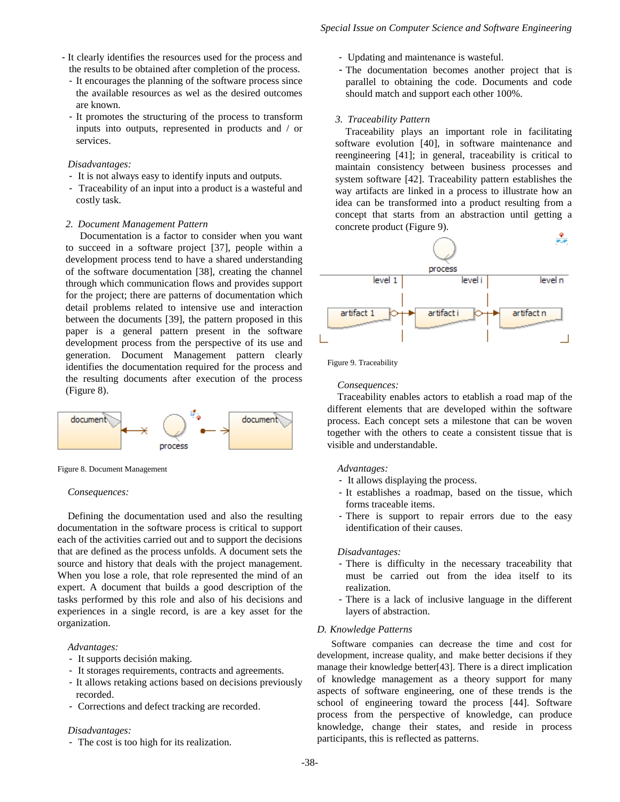- It clearly identifies the resources used for the process and the results to be obtained after completion of the process.
	- It encourages the planning of the software process since the available resources as wel as the desired outcomes are known.
	- It promotes the structuring of the process to transform inputs into outputs, represented in products and / or services.

## *Disadvantages:*

- It is not always easy to identify inputs and outputs.
- Traceability of an input into a product is a wasteful and costly task.

## *2. Document Management Pattern*

Documentation is a factor to consider when you want to succeed in a software project [37], people within a development process tend to have a shared understanding of the software documentation [38], creating the channel through which communication flows and provides support for the project; there are patterns of documentation which detail problems related to intensive use and interaction between the documents [39], the pattern proposed in this paper is a general pattern present in the software development process from the perspective of its use and generation. Document Management pattern clearly identifies the documentation required for the process and the resulting documents after execution of the process (Figure 8).



Figure 8. Document Management

#### *Consequences:*

Defining the documentation used and also the resulting documentation in the software process is critical to support each of the activities carried out and to support the decisions that are defined as the process unfolds. A document sets the source and history that deals with the project management. When you lose a role, that role represented the mind of an expert. A document that builds a good description of the tasks performed by this role and also of his decisions and experiences in a single record, is are a key asset for the organization.

### *Advantages:*

- It supports decisión making.
- It storages requirements, contracts and agreements.
- It allows retaking actions based on decisions previously recorded.
- Corrections and defect tracking are recorded.

## *Disadvantages:*

- The cost is too high for its realization.

- Updating and maintenance is wasteful.
- The documentation becomes another project that is parallel to obtaining the code. Documents and code should match and support each other 100%.

# *3. Traceability Pattern*

Traceability plays an important role in facilitating software evolution [40], in software maintenance and reengineering [41]; in general, traceability is critical to maintain consistency between business processes and system software [42]. Traceability pattern establishes the way artifacts are linked in a process to illustrate how an idea can be transformed into a product resulting from a concept that starts from an abstraction until getting a concrete product (Figure 9).



Figure 9. Traceability

#### *Consequences:*

Traceability enables actors to etablish a road map of the different elements that are developed within the software process. Each concept sets a milestone that can be woven together with the others to ceate a consistent tissue that is visible and understandable.

## *Advantages:*

- It allows displaying the process.
- It establishes a roadmap, based on the tissue, which forms traceable items.
- There is support to repair errors due to the easy identification of their causes.

#### *Disadvantages:*

- There is difficulty in the necessary traceability that must be carried out from the idea itself to its realization.
- There is a lack of inclusive language in the different layers of abstraction.

# *D. Knowledge Patterns*

Software companies can decrease the time and cost for development, increase quality, and make better decisions if they manage their knowledge better[43]. There is a direct implication of knowledge management as a theory support for many aspects of software engineering, one of these trends is the school of engineering toward the process [44]. Software process from the perspective of knowledge, can produce knowledge, change their states, and reside in process participants, this is reflected as patterns.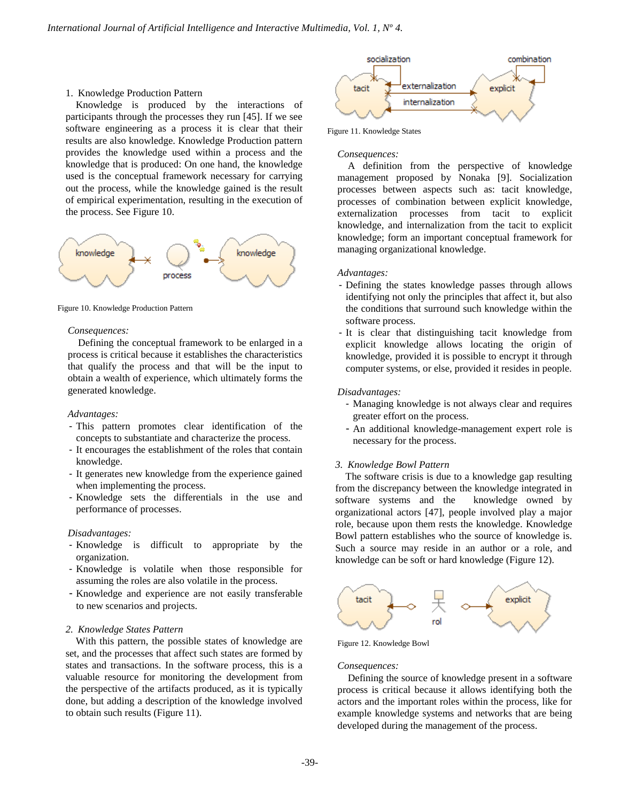## 1. Knowledge Production Pattern

Knowledge is produced by the interactions of participants through the processes they run [45]. If we see software engineering as a process it is clear that their results are also knowledge. Knowledge Production pattern provides the knowledge used within a process and the knowledge that is produced: On one hand, the knowledge used is the conceptual framework necessary for carrying out the process, while the knowledge gained is the result of empirical experimentation, resulting in the execution of the process. See Figure 10.



Figure 10. Knowledge Production Pattern

#### *Consequences:*

Defining the conceptual framework to be enlarged in a process is critical because it establishes the characteristics that qualify the process and that will be the input to obtain a wealth of experience, which ultimately forms the generated knowledge.

# *Advantages:*

- This pattern promotes clear identification of the concepts to substantiate and characterize the process.
- It encourages the establishment of the roles that contain knowledge.
- It generates new knowledge from the experience gained when implementing the process.
- Knowledge sets the differentials in the use and performance of processes.

#### *Disadvantages:*

- Knowledge is difficult to appropriate by the organization.
- Knowledge is volatile when those responsible for assuming the roles are also volatile in the process.
- Knowledge and experience are not easily transferable to new scenarios and projects.

## *2. Knowledge States Pattern*

With this pattern, the possible states of knowledge are set, and the processes that affect such states are formed by states and transactions. In the software process, this is a valuable resource for monitoring the development from the perspective of the artifacts produced, as it is typically done, but adding a description of the knowledge involved to obtain such results (Figure 11).



Figure 11. Knowledge States

#### *Consequences:*

A definition from the perspective of knowledge management proposed by Nonaka [9]. Socialization processes between aspects such as: tacit knowledge, processes of combination between explicit knowledge, externalization processes from tacit to explicit knowledge, and internalization from the tacit to explicit knowledge; form an important conceptual framework for managing organizational knowledge.

## *Advantages:*

- Defining the states knowledge passes through allows identifying not only the principles that affect it, but also the conditions that surround such knowledge within the software process.
- It is clear that distinguishing tacit knowledge from explicit knowledge allows locating the origin of knowledge, provided it is possible to encrypt it through computer systems, or else, provided it resides in people.

#### *Disadvantages:*

- Managing knowledge is not always clear and requires greater effort on the process.
- An additional knowledge-management expert role is necessary for the process.

#### *3. Knowledge Bowl Pattern*

The software crisis is due to a knowledge gap resulting from the discrepancy between the knowledge integrated in software systems and the knowledge owned by organizational actors [47], people involved play a major role, because upon them rests the knowledge. Knowledge Bowl pattern establishes who the source of knowledge is. Such a source may reside in an author or a role, and knowledge can be soft or hard knowledge (Figure 12).



Figure 12. Knowledge Bowl

#### *Consequences:*

Defining the source of knowledge present in a software process is critical because it allows identifying both the actors and the important roles within the process, like for example knowledge systems and networks that are being developed during the management of the process.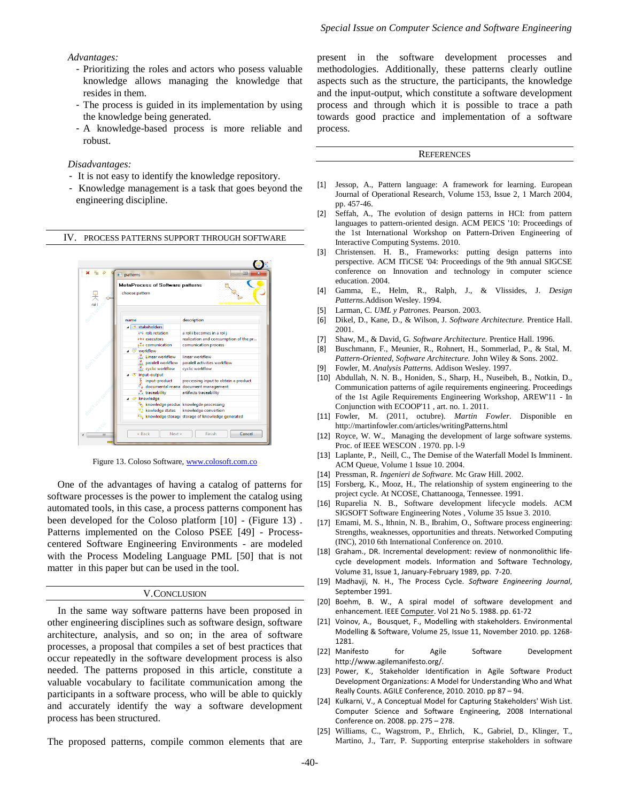#### *Advantages:*

- Prioritizing the roles and actors who posess valuable knowledge allows managing the knowledge that resides in them.
- The process is guided in its implementation by using the knowledge being generated.
- A knowledge-based process is more reliable and robust.

## *Disadvantages:*

- It is not easy to identify the knowledge repository.
- Knowledge management is a task that goes beyond the engineering discipline.

#### IV. PROCESS PATTERNS SUPPORT THROUGH SOFTWARE



Figure 13. Coloso Software, [www.colosoft.com.co](http://www.colosoft.com.co/)

One of the advantages of having a catalog of patterns for software processes is the power to implement the catalog using automated tools, in this case, a process patterns component has been developed for the Coloso platform [10] - (Figure 13) . Patterns implemented on the Coloso PSEE [49] - [Process](http://neo-listas.udistrital.edu.co:2131/citation.cfm?id=258077.258080&coll=DL&dl=ACM&CFID=62447406&CFTOKEN=95346772)[centered Software Engineering Environments](http://neo-listas.udistrital.edu.co:2131/citation.cfm?id=258077.258080&coll=DL&dl=ACM&CFID=62447406&CFTOKEN=95346772) - are modeled with the Process Modeling Language PML [50] that is not matter in this paper but can be used in the tool.

#### V.CONCLUSION

In the same way software patterns have been proposed in other engineering disciplines such as software design, software architecture, analysis, and so on; in the area of software processes, a proposal that compiles a set of best practices that occur repeatedly in the software development process is also needed. The patterns proposed in this article, constitute a valuable vocabulary to facilitate communication among the participants in a software process, who will be able to quickly and accurately identify the way a software development process has been structured.

The proposed patterns, compile common elements that are

present in the software development processes and methodologies. Additionally, these patterns clearly outline aspects such as the structure, the participants, the knowledge and the input-output, which constitute a software development process and through which it is possible to trace a path towards good practice and implementation of a software process.

#### **REFERENCES**

- [1] Jessop, A., [Pattern language: A framework for learning.](http://neo-listas.udistrital.edu.co:2060/science/article/pii/S0377221703001656) European Journal of Operational Research, Volume 153, Issue 2, 1 March 2004, pp. 457-46.
- [2] [Seffah,](http://neo-listas.udistrital.edu.co:2131/author_page.cfm?id=81100205835&coll=DL&dl=ACM&CFID=61713460&CFTOKEN=59160115) A., [The evolution of design patterns in HCI: from pattern](http://neo-listas.udistrital.edu.co:2131/citation.cfm?id=1824749.1824751&coll=DL&dl=ACM&CFID=61713460&CFTOKEN=59160115)  [languages to pattern-oriented design.](http://neo-listas.udistrital.edu.co:2131/citation.cfm?id=1824749.1824751&coll=DL&dl=ACM&CFID=61713460&CFTOKEN=59160115) ACM PEICS '10: Proceedings of the 1st International Workshop on Pattern-Driven Engineering of Interactive Computing Systems. 2010.
- [3] Christensen. [H. B., Frameworks: putting design patterns into](http://neo-listas.udistrital.edu.co:2131/author_page.cfm?id=81100285245&coll=DL&dl=ACM&CFID=61713460&CFTOKEN=59160115)  [perspective.](http://neo-listas.udistrital.edu.co:2131/author_page.cfm?id=81100285245&coll=DL&dl=ACM&CFID=61713460&CFTOKEN=59160115) ACM ITiCSE '04: Proceedings of the 9th annual SIGCSE conference on Innovation and technology in computer science education. 2004.
- [4] Gamma, E., Helm, R., Ralph, J., & Vlissides, J. *Design Patterns.*Addison Wesley. 1994.
- [5] Larman, C. *UML y Patrones.* Pearson. 2003.
- [6] Dikel, D., Kane, D., & Wilson, J. *Software Architecture.* Prentice Hall. 2001.
- [7] Shaw, M., & David, G. *Software Architecture.* Prentice Hall. 1996.
- [8] Buschmann, F., Meunier, R., Rohnert, H., Sommerlad, P., & Stal, M. *Pattern-Oriented, Software Architecture.* John Wiley & Sons. 2002.
- [9] Fowler, M. *Analysis Patterns.* Addison Wesley. 1997.
- [10] [Abdullah, N. N. B.,](http://neo-listas.udistrital.edu.co:2057/authid/detail.url?origin=resultslist&authorId=23090482500&zone=) [Honiden, S.,](http://neo-listas.udistrital.edu.co:2057/authid/detail.url?origin=resultslist&authorId=35233704500&zone=) [Sharp, H.,](http://neo-listas.udistrital.edu.co:2057/authid/detail.url?origin=resultslist&authorId=7101843009&zone=) [Nuseibeh, B.,](http://neo-listas.udistrital.edu.co:2057/authid/detail.url?origin=resultslist&authorId=12644975200&zone=) [Notkin, D.,](http://neo-listas.udistrital.edu.co:2057/authid/detail.url?origin=resultslist&authorId=35389140000&zone=) [Communication patterns of agile requirements engineering.](http://neo-listas.udistrital.edu.co:2057/record/display.url?eid=2-s2.0-83255170963&origin=resultslist&sort=plf-f&src=s&st1=software+ptterns++and+comunication&sid=4PEJPIR0xkCVe13DwP8uzT8%3a90&sot=q&sdt=b&sl=58&s=TITLE-ABS-KEY-AUTH+%28+software+patterns+and+communication+%29&relpos=8&relpos=8&searchTerm=TITLE-ABS-KEY-AUTH%20%28%20software%20patterns%20and%20communication%20%29) Proceedings of the 1st Agile Requirements Engineering Workshop, AREW'11 - In Conjunction with ECOOP'11 , art. no. 1. 2011.
- [11] Fowler, M. (2011, octubre). *Martin Fowler.* Disponible en http://martinfowler.com/articles/writingPatterns.html
- [12] Royce, W. W., Managing the development of large software systems. Proc. of IEEE WESCON . 1970. pp. l-9
- [13] [Laplante,](http://neo-listas.udistrital.edu.co:2131/author_page.cfm?id=81100025798&coll=DL&dl=ACM&CFID=61713460&CFTOKEN=59160115) P., [Neill,](http://neo-listas.udistrital.edu.co:2131/author_page.cfm?id=81100275347&coll=DL&dl=ACM&CFID=61713460&CFTOKEN=59160115) C., [The Demise of the Waterfall Model Is Imminent.](http://neo-listas.udistrital.edu.co:2131/citation.cfm?id=971564.971573&coll=DL&dl=ACM&CFID=61713460&CFTOKEN=59160115) ACM Queue, Volume 1 Issue 10. 2004.
- [14] Pressman, R. *Ingenieri de Software.* Mc Graw Hill. 2002.
- [15] Forsberg, K., Mooz, H., The relationship of system engineering to the project cycle. At NCOSE, Chattanooga, Tennessee. 1991.
- [16] [Ruparelia](http://neo-listas.udistrital.edu.co:2131/author_page.cfm?id=81456620054&coll=DL&dl=ACM&CFID=62072678&CFTOKEN=26317453) N. B., [Software development lifecycle models.](http://neo-listas.udistrital.edu.co:2131/citation.cfm?id=1764810.1764814&coll=DL&dl=ACM&CFID=62072678&CFTOKEN=26317453) ACM SIGSOFT Software Engineering Notes , Volume 35 Issue 3. 2010.
- [17] Emami, M. S., Ithnin, N. B., Ibrahim, O., Software process [engineering:](http://neo-listas.udistrital.edu.co:2134/search/srchabstract.jsp?tp=&arnumber=5484845&openedRefinements%3D*%26filter%3DAND%28NOT%284283010803%29%29%26searchField%3DSearch+All%26queryText%3DSoftware+Process+Engineering)  [Strengths, weaknesses, opportunities and threats.](http://neo-listas.udistrital.edu.co:2134/search/srchabstract.jsp?tp=&arnumber=5484845&openedRefinements%3D*%26filter%3DAND%28NOT%284283010803%29%29%26searchField%3DSearch+All%26queryText%3DSoftware+Process+Engineering) Networked Computing (INC), 2010 6th International Conference on. 2010.
- [18] Graham., DR. [Incremental development: review of nonmonolithic](http://neo-listas.udistrital.edu.co:2060/science/article/pii/0950584989900499?_alid=1873050137&_rdoc=8&_fmt=high&_origin=search&_docanchor=&_ct=163459&_zone=rslt_list_item&md5=e35c73baba33405862fe63e39ada411d) lifecycle [development models.](http://neo-listas.udistrital.edu.co:2060/science/article/pii/0950584989900499?_alid=1873050137&_rdoc=8&_fmt=high&_origin=search&_docanchor=&_ct=163459&_zone=rslt_list_item&md5=e35c73baba33405862fe63e39ada411d) Information and Software Technology, Volume 31, Issue 1, January-February 1989, pp. 7-20.
- [19] Madhavji, N. H., The Process Cycle. *Software Engineering Journal*, September 1991.
- [20] Boehm, B. W., A spiral model of software development and enhancement. IEE[E Computer.](http://neo-listas.udistrital.edu.co:2134/xpl/RecentIssue.jsp?punumber=2) Vol 21 No 5. 1988. pp. 61-72
- [21] Voinov, A., Bousquet, F., Modelling [with stakeholders.](http://neo-listas.udistrital.edu.co:2060/science/article/pii/S1364815210000538) Environmental Modelling & Software, Volume 25, Issue 11, November 2010. pp. 1268- 1281.
- [22] Manifesto for Agile Software Development http://www.agilemanifesto.org/.
- [23] Power, K., Stakeholder Identification in Agile Software Product [Development Organizations: A Model for Understanding Who and What](http://neo-listas.udistrital.edu.co:2134/search/srchabstract.jsp?tp=&arnumber=5562805&openedRefinements%3D*%26filter%3DAND%28NOT%284283010803%29%29%26searchField%3DSearch+All%26queryText%3DStakeholders+Identification) [Really Counts.](http://neo-listas.udistrital.edu.co:2134/search/srchabstract.jsp?tp=&arnumber=5562805&openedRefinements%3D*%26filter%3DAND%28NOT%284283010803%29%29%26searchField%3DSearch+All%26queryText%3DStakeholders+Identification) AGILE Conference, 2010. 2010. pp 87 – 94.
- [24] Kulkarni, V., [A Conceptual Model for Capturing Stakeholders' Wish List.](http://neo-listas.udistrital.edu.co:2134/search/srchabstract.jsp?tp=&arnumber=4722052&openedRefinements%3D*%26filter%3DAND%28NOT%284283010803%29%29%26searchField%3DSearch+All%26queryText%3DStakeholders+Identification) Computer Science and Software Engineering, 2008 International Conference on. 2008. pp. 275 – 278.
- [25] [Williams,](http://neo-listas.udistrital.edu.co:2131/author_page.cfm?id=81331507218&coll=DL&dl=ACM&CFID=62072678&CFTOKEN=26317453) C., [Wagstrom,](http://neo-listas.udistrital.edu.co:2131/author_page.cfm?id=81318496756&coll=DL&dl=ACM&CFID=62072678&CFTOKEN=26317453) P., [Ehrlich,](http://neo-listas.udistrital.edu.co:2131/author_page.cfm?id=81331492075&coll=DL&dl=ACM&CFID=62072678&CFTOKEN=26317453) K., [Gabriel,](http://neo-listas.udistrital.edu.co:2131/author_page.cfm?id=81466643805&coll=DL&dl=ACM&CFID=62072678&CFTOKEN=26317453) D., [Klinger,](http://neo-listas.udistrital.edu.co:2131/author_page.cfm?id=81100330971&coll=DL&dl=ACM&CFID=62072678&CFTOKEN=26317453) T., [Martino,](http://neo-listas.udistrital.edu.co:2131/author_page.cfm?id=81100508902&coll=DL&dl=ACM&CFID=62072678&CFTOKEN=26317453) J., [Tarr,](http://neo-listas.udistrital.edu.co:2131/author_page.cfm?id=81100131551&coll=DL&dl=ACM&CFID=62072678&CFTOKEN=26317453) P. [Supporting enterprise stakeholders in software](http://neo-listas.udistrital.edu.co:2131/citation.cfm?id=1833310.1833328&coll=DL&dl=ACM&CFID=62072678&CFTOKEN=26317453)